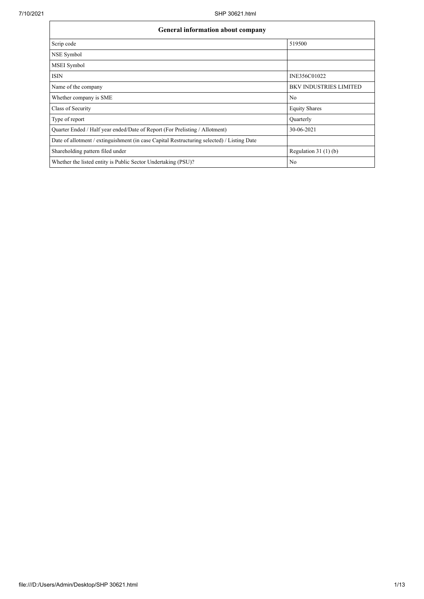| <b>General information about company</b>                                                   |                               |  |  |  |  |  |
|--------------------------------------------------------------------------------------------|-------------------------------|--|--|--|--|--|
| Scrip code                                                                                 | 519500                        |  |  |  |  |  |
| NSE Symbol                                                                                 |                               |  |  |  |  |  |
| MSEI Symbol                                                                                |                               |  |  |  |  |  |
| <b>ISIN</b>                                                                                | INE356C01022                  |  |  |  |  |  |
| Name of the company                                                                        | <b>BKV INDUSTRIES LIMITED</b> |  |  |  |  |  |
| Whether company is SME                                                                     | No                            |  |  |  |  |  |
| Class of Security                                                                          | <b>Equity Shares</b>          |  |  |  |  |  |
| Type of report                                                                             | Quarterly                     |  |  |  |  |  |
| Quarter Ended / Half year ended/Date of Report (For Prelisting / Allotment)                | 30-06-2021                    |  |  |  |  |  |
| Date of allotment / extinguishment (in case Capital Restructuring selected) / Listing Date |                               |  |  |  |  |  |
| Shareholding pattern filed under                                                           | Regulation $31(1)(b)$         |  |  |  |  |  |
| Whether the listed entity is Public Sector Undertaking (PSU)?                              | N <sub>o</sub>                |  |  |  |  |  |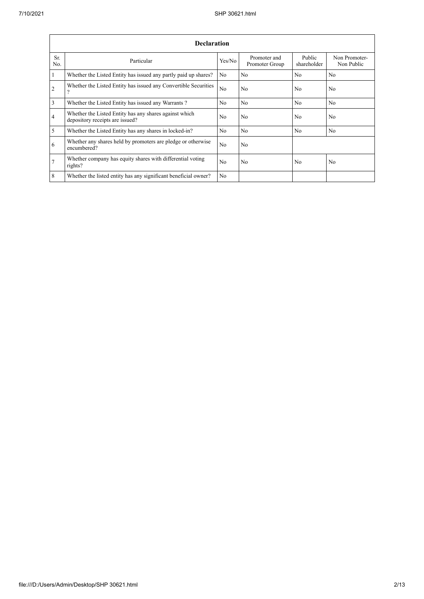|                | <b>Declaration</b>                                                                        |                |                                |                       |                             |  |  |  |  |  |
|----------------|-------------------------------------------------------------------------------------------|----------------|--------------------------------|-----------------------|-----------------------------|--|--|--|--|--|
| Sr.<br>No.     | Particular                                                                                | Yes/No         | Promoter and<br>Promoter Group | Public<br>shareholder | Non Promoter-<br>Non Public |  |  |  |  |  |
| $\mathbf{1}$   | Whether the Listed Entity has issued any partly paid up shares?                           | N <sub>o</sub> | No                             | N <sub>0</sub>        | N <sub>0</sub>              |  |  |  |  |  |
| $\mathfrak{2}$ | Whether the Listed Entity has issued any Convertible Securities<br>$\mathcal{P}$          | N <sub>o</sub> | No                             | N <sub>0</sub>        | N <sub>o</sub>              |  |  |  |  |  |
| $\overline{3}$ | Whether the Listed Entity has issued any Warrants?                                        | N <sub>o</sub> | N <sub>o</sub>                 | N <sub>0</sub>        | N <sub>o</sub>              |  |  |  |  |  |
| 4              | Whether the Listed Entity has any shares against which<br>depository receipts are issued? | N <sub>0</sub> | No                             | N <sub>0</sub>        | N <sub>o</sub>              |  |  |  |  |  |
| 5              | Whether the Listed Entity has any shares in locked-in?                                    | N <sub>o</sub> | N <sub>o</sub>                 | N <sub>0</sub>        | N <sub>o</sub>              |  |  |  |  |  |
| 6              | Whether any shares held by promoters are pledge or otherwise<br>encumbered?               | N <sub>o</sub> | N <sub>o</sub>                 |                       |                             |  |  |  |  |  |
| $\overline{7}$ | Whether company has equity shares with differential voting<br>rights?                     | N <sub>o</sub> | No                             | N <sub>0</sub>        | No                          |  |  |  |  |  |
| 8              | Whether the listed entity has any significant beneficial owner?                           | N <sub>o</sub> |                                |                       |                             |  |  |  |  |  |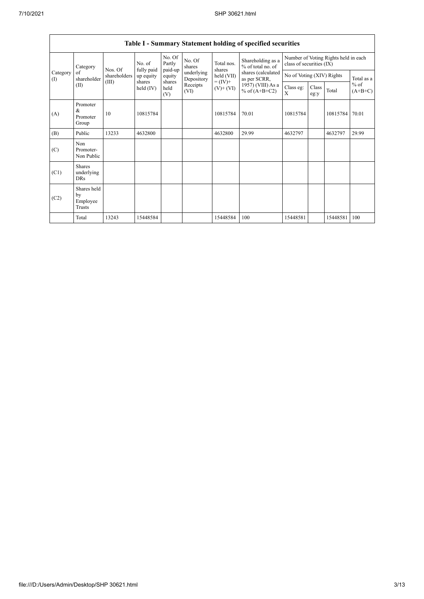$\mathsf{T}$ 

|                   | <b>Table I - Summary Statement holding of specified securities</b> |              |                       |                             |                          |                      |                                        |                                                                  |                |               |       |                     |
|-------------------|--------------------------------------------------------------------|--------------|-----------------------|-----------------------------|--------------------------|----------------------|----------------------------------------|------------------------------------------------------------------|----------------|---------------|-------|---------------------|
| Category          |                                                                    | Nos. Of      | No. of<br>fully paid  | No. Of<br>Partly<br>paid-up | No. Of<br>shares         | Total nos.<br>shares | Shareholding as a<br>% of total no. of | Number of Voting Rights held in each<br>class of securities (IX) |                |               |       |                     |
| Category<br>$($ I | of<br>shareholder                                                  | shareholders | up equity             | equity                      | underlying<br>Depository | held (VII)           | shares (calculated<br>as per SCRR,     | No of Voting (XIV) Rights                                        |                | Total as a    |       |                     |
|                   | (II)                                                               | (III)        | shares<br>held $(IV)$ | shares<br>held<br>(V)       | Receipts<br>(VI)         | $(V)$ + $(VI)$       |                                        | $= (IV) +$<br>1957) (VIII) As a<br>% of $(A+B+C2)$               | Class eg:<br>X | Class<br>eg:y | Total | $%$ of<br>$(A+B+C)$ |
| (A)               | Promoter<br>&<br>Promoter<br>Group                                 | 10           | 10815784              |                             |                          | 10815784             | 70.01                                  | 10815784                                                         |                | 10815784      | 70.01 |                     |
| (B)               | Public                                                             | 13233        | 4632800               |                             |                          | 4632800              | 29.99                                  | 4632797                                                          |                | 4632797       | 29.99 |                     |
| (C)               | Non<br>Promoter-<br>Non Public                                     |              |                       |                             |                          |                      |                                        |                                                                  |                |               |       |                     |
| (C1)              | Shares<br>underlying<br><b>DRs</b>                                 |              |                       |                             |                          |                      |                                        |                                                                  |                |               |       |                     |
| (C2)              | Shares held<br>by<br>Employee<br><b>Trusts</b>                     |              |                       |                             |                          |                      |                                        |                                                                  |                |               |       |                     |
|                   | Total                                                              | 13243        | 15448584              |                             |                          | 15448584             | 100                                    | 15448581                                                         |                | 15448581      | 100   |                     |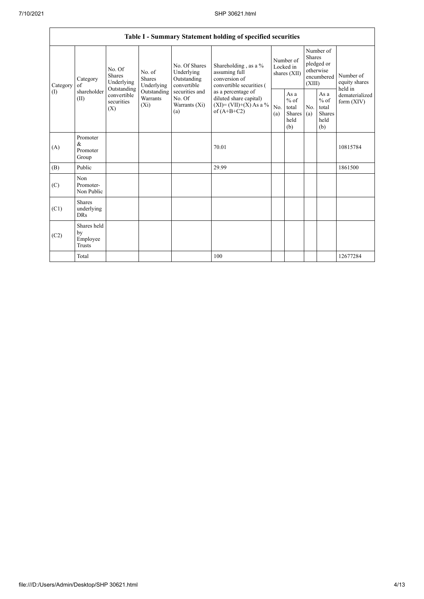| Table I - Summary Statement holding of specified securities |                                                                                                                                                                                                                                                                                                                                                                                                            |                                                     |            |                                                  |                                                  |                                                         |                                |                                                                               |  |                                       |
|-------------------------------------------------------------|------------------------------------------------------------------------------------------------------------------------------------------------------------------------------------------------------------------------------------------------------------------------------------------------------------------------------------------------------------------------------------------------------------|-----------------------------------------------------|------------|--------------------------------------------------|--------------------------------------------------|---------------------------------------------------------|--------------------------------|-------------------------------------------------------------------------------|--|---------------------------------------|
| Category                                                    | No. Of Shares<br>No. Of<br>Underlying<br>assuming full<br>No. of<br><b>Shares</b><br>conversion of<br><b>Shares</b><br>Outstanding<br>Category<br>Underlying<br>Underlying<br>convertible<br>of<br>Outstanding<br>shareholder<br>Outstanding<br>securities and<br>as a percentage of<br>convertible<br>Warrants<br>No. Of<br>(II)<br>securities<br>$(X_i)$<br>Warrants (Xi)<br>(X)<br>of $(A+B+C2)$<br>(a) |                                                     |            |                                                  | Shareholding, as a %<br>convertible securities ( | Number of<br>Locked in<br>shares (XII)                  |                                | Number of<br><b>Shares</b><br>pledged or<br>otherwise<br>encumbered<br>(XIII) |  | Number of<br>equity shares<br>held in |
| $($ I)                                                      |                                                                                                                                                                                                                                                                                                                                                                                                            | diluted share capital)<br>$(XI) = (VII)+(X) As a %$ | No.<br>(a) | As a<br>$%$ of<br>total<br>Shares<br>held<br>(b) | No.<br>(a)                                       | As a<br>$%$ of<br>total<br><b>Shares</b><br>held<br>(b) | dematerialized<br>form $(XIV)$ |                                                                               |  |                                       |
| (A)                                                         | Promoter<br>&<br>Promoter<br>Group                                                                                                                                                                                                                                                                                                                                                                         |                                                     |            |                                                  | 70.01                                            |                                                         |                                |                                                                               |  | 10815784                              |
| (B)                                                         | Public                                                                                                                                                                                                                                                                                                                                                                                                     |                                                     |            |                                                  | 29.99                                            |                                                         |                                |                                                                               |  | 1861500                               |
| (C)                                                         | Non<br>Promoter-<br>Non Public                                                                                                                                                                                                                                                                                                                                                                             |                                                     |            |                                                  |                                                  |                                                         |                                |                                                                               |  |                                       |
| (C1)                                                        | <b>Shares</b><br>underlying<br><b>DRs</b>                                                                                                                                                                                                                                                                                                                                                                  |                                                     |            |                                                  |                                                  |                                                         |                                |                                                                               |  |                                       |
| (C2)                                                        | Shares held<br>by<br>Employee<br><b>Trusts</b>                                                                                                                                                                                                                                                                                                                                                             |                                                     |            |                                                  |                                                  |                                                         |                                |                                                                               |  |                                       |
|                                                             | Total                                                                                                                                                                                                                                                                                                                                                                                                      |                                                     |            |                                                  | 100                                              |                                                         |                                |                                                                               |  | 12677284                              |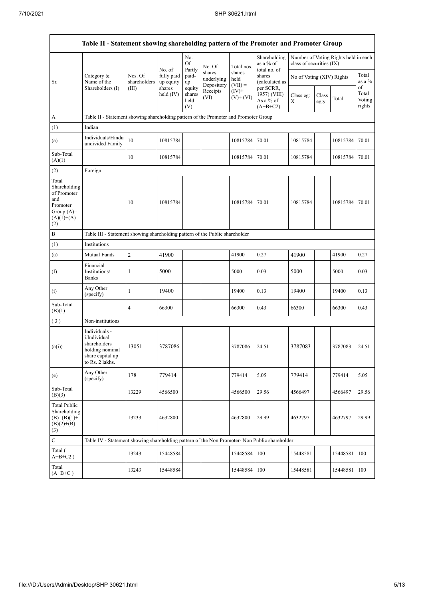|                                                                                                | Table II - Statement showing shareholding pattern of the Promoter and Promoter Group                    |                                                                              |                                   |                                 |                                    |                             |                                                      |                           |               |                                      |                                 |
|------------------------------------------------------------------------------------------------|---------------------------------------------------------------------------------------------------------|------------------------------------------------------------------------------|-----------------------------------|---------------------------------|------------------------------------|-----------------------------|------------------------------------------------------|---------------------------|---------------|--------------------------------------|---------------------------------|
|                                                                                                |                                                                                                         |                                                                              |                                   | No.<br>Of                       | No. Of                             | Total nos.                  | Shareholding<br>as a % of<br>total no. of            | class of securities (IX)  |               | Number of Voting Rights held in each |                                 |
| Sr.                                                                                            | Category &<br>Name of the                                                                               | Nos. Of<br>shareholders                                                      | No. of<br>fully paid<br>up equity | Partly<br>paid-<br>up           | shares<br>underlying<br>Depository | shares<br>held<br>$(VII) =$ | shares<br>(calculated as                             | No of Voting (XIV) Rights |               |                                      | Total<br>as a $\%$              |
|                                                                                                | Shareholders (I)                                                                                        | (III)                                                                        | shares<br>held $(IV)$             | equity<br>shares<br>held<br>(V) | Receipts<br>(VI)                   | $(IV)^+$<br>$(V)$ + $(VI)$  | per SCRR,<br>1957) (VIII)<br>As a % of<br>$(A+B+C2)$ | Class eg:<br>$\mathbf X$  | Class<br>eg:y | Total                                | of<br>Total<br>Voting<br>rights |
| А                                                                                              | Table II - Statement showing shareholding pattern of the Promoter and Promoter Group                    |                                                                              |                                   |                                 |                                    |                             |                                                      |                           |               |                                      |                                 |
| (1)                                                                                            | Indian                                                                                                  |                                                                              |                                   |                                 |                                    |                             |                                                      |                           |               |                                      |                                 |
| (a)                                                                                            | Individuals/Hindu<br>undivided Family                                                                   | 10                                                                           | 10815784                          |                                 |                                    | 10815784                    | 70.01                                                | 10815784                  |               | 10815784                             | 70.01                           |
| Sub-Total<br>(A)(1)                                                                            |                                                                                                         | 10                                                                           | 10815784                          |                                 |                                    | 10815784                    | 70.01                                                | 10815784                  |               | 10815784                             | 70.01                           |
| (2)                                                                                            | Foreign                                                                                                 |                                                                              |                                   |                                 |                                    |                             |                                                      |                           |               |                                      |                                 |
| Total<br>Shareholding<br>of Promoter<br>and<br>Promoter<br>Group $(A)=$<br>$(A)(1)+(A)$<br>(2) |                                                                                                         | 10                                                                           | 10815784                          |                                 |                                    | 10815784                    | 70.01                                                | 10815784                  |               | 10815784                             | 70.01                           |
| B                                                                                              |                                                                                                         | Table III - Statement showing shareholding pattern of the Public shareholder |                                   |                                 |                                    |                             |                                                      |                           |               |                                      |                                 |
| (1)                                                                                            | Institutions                                                                                            |                                                                              |                                   |                                 |                                    |                             |                                                      |                           |               |                                      |                                 |
| (a)                                                                                            | Mutual Funds                                                                                            | $\sqrt{2}$                                                                   | 41900                             |                                 |                                    | 41900                       | 0.27                                                 | 41900                     |               | 41900                                | 0.27                            |
| (f)                                                                                            | Financial<br>Institutions/<br>Banks                                                                     | 1                                                                            | 5000                              |                                 |                                    | 5000                        | 0.03                                                 | 5000                      |               | 5000                                 | 0.03                            |
| (i)                                                                                            | Any Other<br>(specify)                                                                                  | $\mathbf{1}$                                                                 | 19400                             |                                 |                                    | 19400                       | 0.13                                                 | 19400                     |               | 19400                                | 0.13                            |
| Sub-Total<br>(B)(1)                                                                            |                                                                                                         | 4                                                                            | 66300                             |                                 |                                    | 66300                       | 0.43                                                 | 66300                     |               | 66300                                | 0.43                            |
| (3)                                                                                            | Non-institutions                                                                                        |                                                                              |                                   |                                 |                                    |                             |                                                      |                           |               |                                      |                                 |
| (a(i))                                                                                         | Individuals -<br>i.Individual<br>shareholders<br>holding nominal<br>share capital up<br>to Rs. 2 lakhs. | 13051                                                                        | 3787086                           |                                 |                                    | 3787086                     | 24.51                                                | 3787083                   |               | 3787083                              | 24.51                           |
| (e)                                                                                            | Any Other<br>(specify)                                                                                  | 178                                                                          | 779414                            |                                 |                                    | 779414                      | 5.05                                                 | 779414                    |               | 779414                               | 5.05                            |
| Sub-Total<br>(B)(3)                                                                            |                                                                                                         | 13229                                                                        | 4566500                           |                                 |                                    | 4566500                     | 29.56                                                | 4566497                   |               | 4566497                              | 29.56                           |
| <b>Total Public</b><br>Shareholding<br>$(B)=(B)(1)+$<br>$(B)(2)+(B)$<br>(3)                    |                                                                                                         | 13233                                                                        | 4632800                           |                                 |                                    | 4632800                     | 29.99                                                | 4632797                   |               | 4632797                              | 29.99                           |
| ${\bf C}$                                                                                      | Table IV - Statement showing shareholding pattern of the Non Promoter- Non Public shareholder           |                                                                              |                                   |                                 |                                    |                             |                                                      |                           |               |                                      |                                 |
| Total (<br>$A+B+C2$ )                                                                          |                                                                                                         | 13243                                                                        | 15448584                          |                                 |                                    | 15448584                    | 100                                                  | 15448581                  |               | 15448581                             | 100                             |
| Total<br>$(A+B+C)$                                                                             |                                                                                                         | 13243                                                                        | 15448584                          |                                 |                                    | 15448584                    | 100                                                  | 15448581                  |               | 15448581                             | 100                             |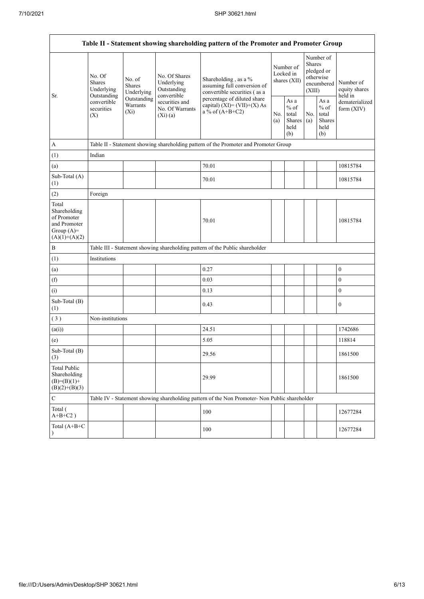$\overline{a}$ 

|                                                                                         | Table II - Statement showing shareholding pattern of the Promoter and Promoter Group                                                                             |                                                                                                              |                                                                                                                                                                           |                                                                                               |                                                  |            |                                                                               |                                       |                  |  |  |
|-----------------------------------------------------------------------------------------|------------------------------------------------------------------------------------------------------------------------------------------------------------------|--------------------------------------------------------------------------------------------------------------|---------------------------------------------------------------------------------------------------------------------------------------------------------------------------|-----------------------------------------------------------------------------------------------|--------------------------------------------------|------------|-------------------------------------------------------------------------------|---------------------------------------|------------------|--|--|
| Sr.                                                                                     | No. Of<br>No. of<br><b>Shares</b><br>Shares<br>Underlying<br>Underlying<br>Outstanding<br>Outstanding<br>convertible<br>Warrants<br>securities<br>$(X_i)$<br>(X) | No. Of Shares<br>Underlying<br>Outstanding<br>convertible<br>securities and<br>No. Of Warrants<br>$(Xi)$ (a) | Shareholding, as a %<br>assuming full conversion of<br>convertible securities (as a<br>percentage of diluted share<br>capital) $(XI) = (VII)+(X) As$<br>a % of $(A+B+C2)$ |                                                                                               | Number of<br>Locked in<br>shares (XII)           |            | Number of<br><b>Shares</b><br>pledged or<br>otherwise<br>encumbered<br>(XIII) | Number of<br>equity shares<br>held in |                  |  |  |
|                                                                                         |                                                                                                                                                                  |                                                                                                              |                                                                                                                                                                           |                                                                                               | As a<br>$%$ of<br>total<br>Shares<br>held<br>(b) | No.<br>(a) | As a<br>$%$ of<br>total<br>Shares<br>held<br>(b)                              | dematerialized<br>form $(XIV)$        |                  |  |  |
| A                                                                                       |                                                                                                                                                                  |                                                                                                              |                                                                                                                                                                           | Table II - Statement showing shareholding pattern of the Promoter and Promoter Group          |                                                  |            |                                                                               |                                       |                  |  |  |
| (1)                                                                                     | Indian                                                                                                                                                           |                                                                                                              |                                                                                                                                                                           |                                                                                               |                                                  |            |                                                                               |                                       |                  |  |  |
| (a)                                                                                     |                                                                                                                                                                  |                                                                                                              |                                                                                                                                                                           | 70.01                                                                                         |                                                  |            |                                                                               |                                       | 10815784         |  |  |
| Sub-Total (A)<br>(1)                                                                    |                                                                                                                                                                  |                                                                                                              |                                                                                                                                                                           | 70.01                                                                                         |                                                  |            |                                                                               |                                       | 10815784         |  |  |
| (2)                                                                                     | Foreign                                                                                                                                                          |                                                                                                              |                                                                                                                                                                           |                                                                                               |                                                  |            |                                                                               |                                       |                  |  |  |
| Total<br>Shareholding<br>of Promoter<br>and Promoter<br>Group $(A)=$<br>$(A)(1)+(A)(2)$ |                                                                                                                                                                  |                                                                                                              |                                                                                                                                                                           | 70.01                                                                                         |                                                  |            |                                                                               |                                       | 10815784         |  |  |
| $\, {\bf B}$                                                                            |                                                                                                                                                                  |                                                                                                              |                                                                                                                                                                           | Table III - Statement showing shareholding pattern of the Public shareholder                  |                                                  |            |                                                                               |                                       |                  |  |  |
| (1)                                                                                     | Institutions                                                                                                                                                     |                                                                                                              |                                                                                                                                                                           |                                                                                               |                                                  |            |                                                                               |                                       |                  |  |  |
| (a)                                                                                     |                                                                                                                                                                  |                                                                                                              |                                                                                                                                                                           | 0.27                                                                                          |                                                  |            |                                                                               |                                       | $\boldsymbol{0}$ |  |  |
| (f)                                                                                     |                                                                                                                                                                  |                                                                                                              |                                                                                                                                                                           | 0.03                                                                                          |                                                  |            |                                                                               |                                       | $\mathbf{0}$     |  |  |
| (i)                                                                                     |                                                                                                                                                                  |                                                                                                              |                                                                                                                                                                           | 0.13                                                                                          |                                                  |            |                                                                               |                                       | $\boldsymbol{0}$ |  |  |
| Sub-Total (B)<br>(1)                                                                    |                                                                                                                                                                  |                                                                                                              |                                                                                                                                                                           | 0.43                                                                                          |                                                  |            |                                                                               |                                       | $\mathbf{0}$     |  |  |
| (3)                                                                                     | Non-institutions                                                                                                                                                 |                                                                                                              |                                                                                                                                                                           |                                                                                               |                                                  |            |                                                                               |                                       |                  |  |  |
| (a(i))                                                                                  |                                                                                                                                                                  |                                                                                                              |                                                                                                                                                                           | 24.51                                                                                         |                                                  |            |                                                                               |                                       | 1742686          |  |  |
| (e)                                                                                     |                                                                                                                                                                  |                                                                                                              |                                                                                                                                                                           | 5.05                                                                                          |                                                  |            |                                                                               |                                       | 118814           |  |  |
| Sub-Total (B)<br>$\left(3\right)$                                                       |                                                                                                                                                                  |                                                                                                              |                                                                                                                                                                           | 29.56                                                                                         |                                                  |            |                                                                               |                                       | 1861500          |  |  |
| <b>Total Public</b><br>Shareholding<br>$(B)=(B)(1)+$<br>$(B)(2)+(B)(3)$                 |                                                                                                                                                                  |                                                                                                              |                                                                                                                                                                           | 29.99                                                                                         |                                                  |            |                                                                               |                                       | 1861500          |  |  |
| $\mathbf C$                                                                             |                                                                                                                                                                  |                                                                                                              |                                                                                                                                                                           | Table IV - Statement showing shareholding pattern of the Non Promoter- Non Public shareholder |                                                  |            |                                                                               |                                       |                  |  |  |
| Total (<br>$A+B+C2$ )                                                                   |                                                                                                                                                                  |                                                                                                              |                                                                                                                                                                           | 100                                                                                           |                                                  |            |                                                                               |                                       | 12677284         |  |  |
| Total (A+B+C<br>$\lambda$                                                               |                                                                                                                                                                  |                                                                                                              |                                                                                                                                                                           | 100                                                                                           |                                                  |            |                                                                               |                                       | 12677284         |  |  |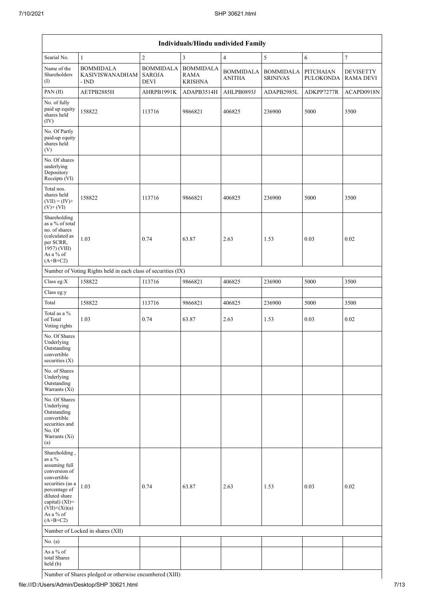| Individuals/Hindu undivided Family                                                                                                                                                                |                                                               |                                                  |                                                   |                                   |                                     |                                      |                                      |  |  |  |
|---------------------------------------------------------------------------------------------------------------------------------------------------------------------------------------------------|---------------------------------------------------------------|--------------------------------------------------|---------------------------------------------------|-----------------------------------|-------------------------------------|--------------------------------------|--------------------------------------|--|--|--|
| Searial No.                                                                                                                                                                                       | $\mathbf{1}$                                                  | $\overline{c}$                                   | 3                                                 | $\overline{4}$                    | 5                                   | 6                                    | $\tau$                               |  |  |  |
| Name of the<br>Shareholders<br>$($ I $)$                                                                                                                                                          | <b>BOMMIDALA</b><br><b>KASIVISWANADHAM</b><br>- IND           | <b>BOMMIDALA</b><br><b>SAROJA</b><br><b>DEVI</b> | <b>BOMMIDALA</b><br><b>RAMA</b><br><b>KRISHNA</b> | <b>BOMMIDALA</b><br><b>ANITHA</b> | <b>BOMMIDALA</b><br><b>SRINIVAS</b> | <b>PITCHAIAN</b><br><b>PULOKONDA</b> | <b>DEVISETTY</b><br><b>RAMA DEVI</b> |  |  |  |
| PAN(II)                                                                                                                                                                                           | AETPB2885H                                                    | AHRPB1991K                                       | ADAPB3514H                                        | AHLPB0893J                        | ADAPB2985L                          | ADKPP7277R                           | ACAPD0918N                           |  |  |  |
| No. of fully<br>paid up equity<br>shares held<br>(IV)                                                                                                                                             | 158822                                                        | 113716                                           | 9866821                                           | 406825                            | 236900                              | 5000                                 | 3500                                 |  |  |  |
| No. Of Partly<br>paid-up equity<br>shares held<br>(V)                                                                                                                                             |                                                               |                                                  |                                                   |                                   |                                     |                                      |                                      |  |  |  |
| No. Of shares<br>underlying<br>Depository<br>Receipts (VI)                                                                                                                                        |                                                               |                                                  |                                                   |                                   |                                     |                                      |                                      |  |  |  |
| Total nos.<br>shares held<br>$(VII) = (IV) +$<br>$(V)+(VI)$                                                                                                                                       | 158822                                                        | 113716                                           | 9866821                                           | 406825                            | 236900                              | 5000                                 | 3500                                 |  |  |  |
| Shareholding<br>as a % of total<br>no. of shares<br>(calculated as<br>per SCRR,<br>1957) (VIII)<br>As a % of<br>$(A+B+C2)$                                                                        | 1.03                                                          | 0.74                                             | 63.87                                             | 2.63                              | 1.53                                | 0.03                                 | 0.02                                 |  |  |  |
|                                                                                                                                                                                                   | Number of Voting Rights held in each class of securities (IX) |                                                  |                                                   |                                   |                                     |                                      |                                      |  |  |  |
| Class eg:X                                                                                                                                                                                        | 158822                                                        | 113716                                           | 9866821                                           | 406825                            | 236900                              | 5000                                 | 3500                                 |  |  |  |
| Class eg:y                                                                                                                                                                                        |                                                               |                                                  |                                                   |                                   |                                     |                                      |                                      |  |  |  |
| Total                                                                                                                                                                                             | 158822                                                        | 113716                                           | 9866821                                           | 406825                            | 236900                              | 5000                                 | 3500                                 |  |  |  |
| Total as a %<br>of Total<br>Voting rights                                                                                                                                                         | 1.03                                                          | 0.74                                             | 63.87                                             | 2.63                              | 1.53                                | 0.03                                 | 0.02                                 |  |  |  |
| No. Of Shares<br>Underlying<br>Outstanding<br>convertible<br>securities $(X)$                                                                                                                     |                                                               |                                                  |                                                   |                                   |                                     |                                      |                                      |  |  |  |
| No. of Shares<br>Underlying<br>Outstanding<br>Warrants (Xi)                                                                                                                                       |                                                               |                                                  |                                                   |                                   |                                     |                                      |                                      |  |  |  |
| No. Of Shares<br>Underlying<br>Outstanding<br>convertible<br>securities and<br>No. Of<br>Warrants (Xi)<br>(a)                                                                                     |                                                               |                                                  |                                                   |                                   |                                     |                                      |                                      |  |  |  |
| Shareholding,<br>as a $\%$<br>assuming full<br>conversion of<br>convertible<br>securities (as a<br>percentage of<br>diluted share<br>capital) (XI)=<br>$(VII)+(Xi)(a)$<br>As a % of<br>$(A+B+C2)$ | 1.03                                                          | 0.74                                             | 63.87                                             | 2.63                              | 1.53                                | 0.03                                 | 0.02                                 |  |  |  |
|                                                                                                                                                                                                   | Number of Locked in shares (XII)                              |                                                  |                                                   |                                   |                                     |                                      |                                      |  |  |  |
| No. (a)                                                                                                                                                                                           |                                                               |                                                  |                                                   |                                   |                                     |                                      |                                      |  |  |  |
| As a % of<br>total Shares<br>held (b)                                                                                                                                                             |                                                               |                                                  |                                                   |                                   |                                     |                                      |                                      |  |  |  |

Number of Shares pledged or otherwise encumbered (XIII)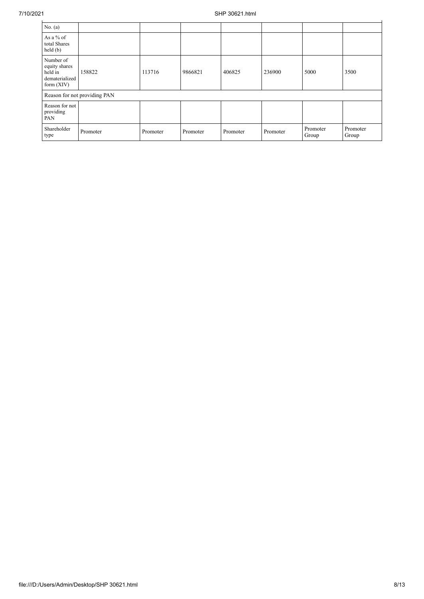| No. $(a)$                                                               |                              |          |          |          |          |                   |                   |
|-------------------------------------------------------------------------|------------------------------|----------|----------|----------|----------|-------------------|-------------------|
| As a % of<br>total Shares<br>held(b)                                    |                              |          |          |          |          |                   |                   |
| Number of<br>equity shares<br>held in<br>dematerialized<br>form $(XIV)$ | 158822                       | 113716   | 9866821  | 406825   | 236900   | 5000              | 3500              |
|                                                                         | Reason for not providing PAN |          |          |          |          |                   |                   |
| Reason for not<br>providing<br>PAN                                      |                              |          |          |          |          |                   |                   |
| Shareholder<br>type                                                     | Promoter                     | Promoter | Promoter | Promoter | Promoter | Promoter<br>Group | Promoter<br>Group |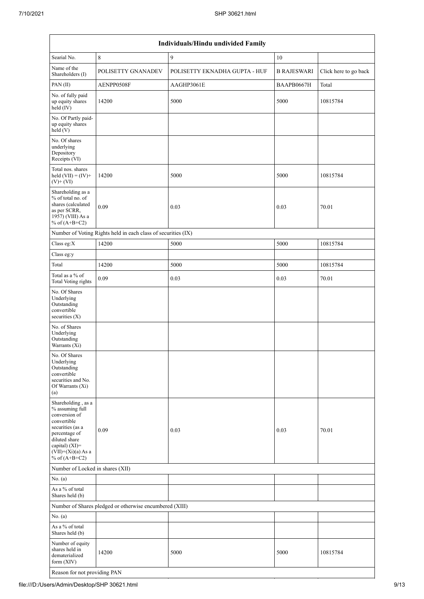|                                                                                                                                                                                          | Individuals/Hindu undivided Family                            |                               |                    |                       |  |  |  |  |  |  |
|------------------------------------------------------------------------------------------------------------------------------------------------------------------------------------------|---------------------------------------------------------------|-------------------------------|--------------------|-----------------------|--|--|--|--|--|--|
| Searial No.                                                                                                                                                                              | $\,8\,$                                                       | 9                             | 10                 |                       |  |  |  |  |  |  |
| Name of the<br>Shareholders (I)                                                                                                                                                          | POLISETTY GNANADEV                                            | POLISETTY EKNADHA GUPTA - HUF | <b>B RAJESWARI</b> | Click here to go back |  |  |  |  |  |  |
| PAN (II)                                                                                                                                                                                 | AENPP0508F                                                    | AAGHP3061E                    | BAAPB0667H         | Total                 |  |  |  |  |  |  |
| No. of fully paid<br>up equity shares<br>held (IV)                                                                                                                                       | 14200                                                         | 5000                          | 5000               | 10815784              |  |  |  |  |  |  |
| No. Of Partly paid-<br>up equity shares<br>held (V)                                                                                                                                      |                                                               |                               |                    |                       |  |  |  |  |  |  |
| No. Of shares<br>underlying<br>Depository<br>Receipts (VI)                                                                                                                               |                                                               |                               |                    |                       |  |  |  |  |  |  |
| Total nos. shares<br>held $(VII) = (IV) +$<br>$(V)+(VI)$                                                                                                                                 | 14200                                                         | 5000                          | 5000               | 10815784              |  |  |  |  |  |  |
| Shareholding as a<br>% of total no. of<br>shares (calculated<br>as per SCRR,<br>1957) (VIII) As a<br>% of $(A+B+C2)$                                                                     | 0.09                                                          | 0.03                          | 0.03               | 70.01                 |  |  |  |  |  |  |
|                                                                                                                                                                                          | Number of Voting Rights held in each class of securities (IX) |                               |                    |                       |  |  |  |  |  |  |
| Class eg:X                                                                                                                                                                               | 14200                                                         | 5000                          | 5000               | 10815784              |  |  |  |  |  |  |
| Class eg:y                                                                                                                                                                               |                                                               |                               |                    |                       |  |  |  |  |  |  |
| Total                                                                                                                                                                                    | 14200                                                         | 5000                          | 5000               | 10815784              |  |  |  |  |  |  |
| Total as a % of<br>Total Voting rights                                                                                                                                                   | 0.09                                                          | 0.03                          | 0.03               | 70.01                 |  |  |  |  |  |  |
| No. Of Shares<br>Underlying<br>Outstanding<br>convertible<br>securities (X)                                                                                                              |                                                               |                               |                    |                       |  |  |  |  |  |  |
| No. of Shares<br>Underlying<br>Outstanding<br>Warrants (Xi)                                                                                                                              |                                                               |                               |                    |                       |  |  |  |  |  |  |
| No. Of Shares<br>Underlying<br>Outstanding<br>convertible<br>securities and No.<br>Of Warrants (Xi)<br>(a)                                                                               |                                                               |                               |                    |                       |  |  |  |  |  |  |
| Shareholding, as a<br>% assuming full<br>conversion of<br>convertible<br>securities (as a<br>percentage of<br>diluted share<br>capital) (XI)=<br>$(VII)+(Xi)(a)$ As a<br>% of $(A+B+C2)$ | 0.09                                                          | 0.03                          | 0.03               | 70.01                 |  |  |  |  |  |  |
| Number of Locked in shares (XII)                                                                                                                                                         |                                                               |                               |                    |                       |  |  |  |  |  |  |
| No. (a)                                                                                                                                                                                  |                                                               |                               |                    |                       |  |  |  |  |  |  |
| As a % of total<br>Shares held (b)                                                                                                                                                       |                                                               |                               |                    |                       |  |  |  |  |  |  |
|                                                                                                                                                                                          | Number of Shares pledged or otherwise encumbered (XIII)       |                               |                    |                       |  |  |  |  |  |  |
| No. $(a)$                                                                                                                                                                                |                                                               |                               |                    |                       |  |  |  |  |  |  |
| As a % of total<br>Shares held (b)                                                                                                                                                       |                                                               |                               |                    |                       |  |  |  |  |  |  |
| Number of equity<br>shares held in<br>dematerialized<br>form (XIV)                                                                                                                       | 14200                                                         | 5000                          | 5000               | 10815784              |  |  |  |  |  |  |
| Reason for not providing PAN                                                                                                                                                             |                                                               |                               |                    |                       |  |  |  |  |  |  |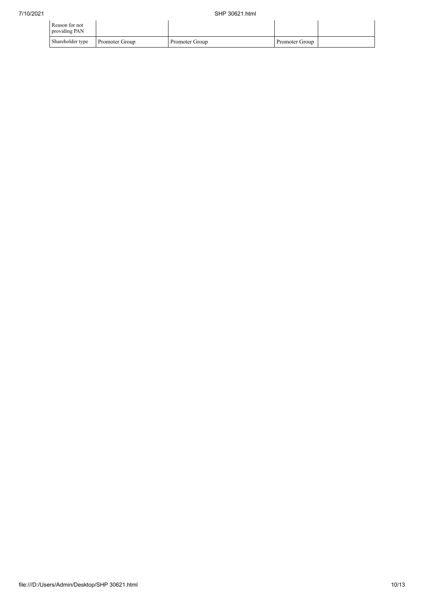| Reason for not<br>providing PAN |                       |                |                |  |
|---------------------------------|-----------------------|----------------|----------------|--|
| Shareholder type                | <b>Promoter Group</b> | Promoter Group | Promoter Group |  |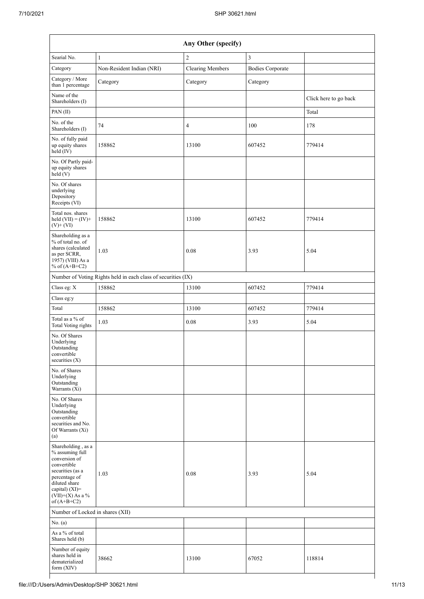|                                                                                                                                                                                      |                                                               | Any Other (specify)     |                         |                       |
|--------------------------------------------------------------------------------------------------------------------------------------------------------------------------------------|---------------------------------------------------------------|-------------------------|-------------------------|-----------------------|
| Searial No.                                                                                                                                                                          | $\mathbf{1}$                                                  | $\sqrt{2}$              | 3                       |                       |
| Category                                                                                                                                                                             | Non-Resident Indian (NRI)                                     | <b>Clearing Members</b> | <b>Bodies Corporate</b> |                       |
| Category / More<br>than 1 percentage                                                                                                                                                 | Category                                                      | Category                | Category                |                       |
| Name of the<br>Shareholders (I)                                                                                                                                                      |                                                               |                         |                         | Click here to go back |
| PAN (II)                                                                                                                                                                             |                                                               |                         |                         | Total                 |
| No. of the<br>Shareholders (I)                                                                                                                                                       | 74                                                            | $\overline{4}$          | 100                     | 178                   |
| No. of fully paid<br>up equity shares<br>held (IV)                                                                                                                                   | 158862                                                        | 13100                   | 607452                  | 779414                |
| No. Of Partly paid-<br>up equity shares<br>held (V)                                                                                                                                  |                                                               |                         |                         |                       |
| No. Of shares<br>underlying<br>Depository<br>Receipts (VI)                                                                                                                           |                                                               |                         |                         |                       |
| Total nos. shares<br>held $(VII) = (IV) +$<br>$(V)$ + $(VI)$                                                                                                                         | 158862                                                        | 13100                   | 607452                  | 779414                |
| Shareholding as a<br>% of total no. of<br>shares (calculated<br>as per SCRR,<br>1957) (VIII) As a<br>% of $(A+B+C2)$                                                                 | 1.03                                                          | 0.08                    | 3.93                    | 5.04                  |
|                                                                                                                                                                                      | Number of Voting Rights held in each class of securities (IX) |                         |                         |                       |
| Class eg: X                                                                                                                                                                          | 158862                                                        | 13100                   | 607452                  | 779414                |
| Class eg:y                                                                                                                                                                           |                                                               |                         |                         |                       |
| Total                                                                                                                                                                                | 158862                                                        | 13100                   | 607452                  | 779414                |
| Total as a % of<br>Total Voting rights                                                                                                                                               | 1.03                                                          | 0.08                    | 3.93                    | 5.04                  |
| No. Of Shares<br>Underlying<br>Outstanding<br>convertible<br>securities (X)                                                                                                          |                                                               |                         |                         |                       |
| No. of Shares<br>Underlying<br>Outstanding<br>Warrants (Xi)                                                                                                                          |                                                               |                         |                         |                       |
| No. Of Shares<br>Underlying<br>Outstanding<br>convertible<br>securities and No.<br>Of Warrants (Xi)<br>(a)                                                                           |                                                               |                         |                         |                       |
| Shareholding, as a<br>% assuming full<br>conversion of<br>convertible<br>securities (as a<br>percentage of<br>diluted share<br>capital) (XI)=<br>$(VII)+(X)$ As a %<br>of $(A+B+C2)$ | 1.03                                                          | 0.08                    | 3.93                    | 5.04                  |
| Number of Locked in shares (XII)                                                                                                                                                     |                                                               |                         |                         |                       |
| No. $(a)$                                                                                                                                                                            |                                                               |                         |                         |                       |
| As a $\%$ of total<br>Shares held (b)                                                                                                                                                |                                                               |                         |                         |                       |
| Number of equity<br>shares held in<br>dematerialized<br>form (XIV)                                                                                                                   | 38662                                                         | 13100                   | 67052                   | 118814                |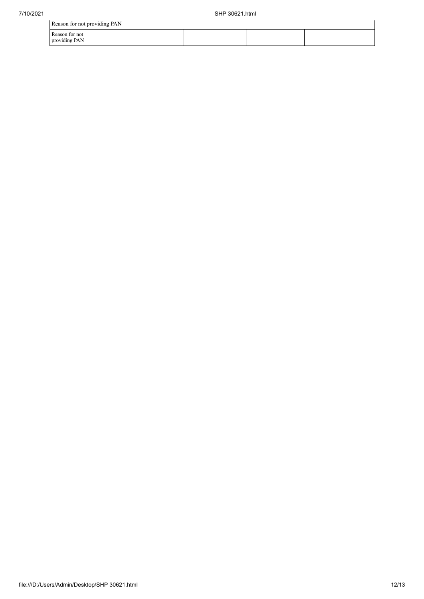|                                 | Reason for not providing PAN |  |  |  |  |  |  |  |  |
|---------------------------------|------------------------------|--|--|--|--|--|--|--|--|
| Reason for not<br>providing PAN |                              |  |  |  |  |  |  |  |  |